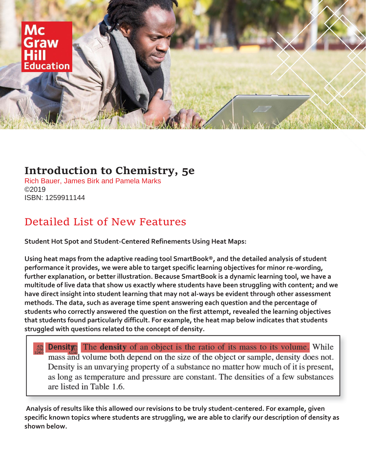

## **Introduction to Chemistry, 5e**

Rich Bauer, James Birk and Pamela Marks ©2019 ISBN: 1259911144

# Detailed List of New Features

**Student Hot Spot and Student-Centered Refinements Using Heat Maps:**

**Using heat maps from the adaptive reading tool SmartBook®, and the detailed analysis of student performance it provides, we were able to target specific learning objectives for minor re-wording, further explanation, or better illustration. Because SmartBook is a dynamic learning tool, we have a multitude of live data that show us exactly where students have been struggling with content; and we have direct insight into student learning that may not al-ways be evident through other assessment methods. The data, such as average time spent answering each question and the percentage of students who correctly answered the question on the first attempt, revealed the learning objectives that students found particularly difficult. For example, the heat map below indicates that students struggled with questions related to the concept of density.**

**Density** The density of an object is the ratio of its mass to its volume. While mass and volume both depend on the size of the object or sample, density does not. Density is an unvarying property of a substance no matter how much of it is present, as long as temperature and pressure are constant. The densities of a few substances are listed in Table 1.6.

**Analysis of results like this allowed our revisions to be truly student-centered. For example, given specific known topics where students are struggling, we are able to clarify our description of density as shown below.**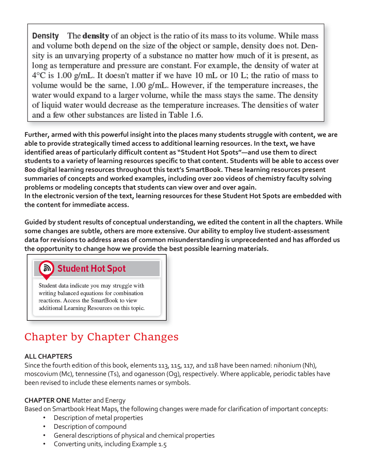The **density** of an object is the ratio of its mass to its volume. While mass Densitv and volume both depend on the size of the object or sample, density does not. Density is an unvarying property of a substance no matter how much of it is present, as long as temperature and pressure are constant. For example, the density of water at  $4^{\circ}$ C is 1.00 g/mL. It doesn't matter if we have 10 mL or 10 L; the ratio of mass to volume would be the same,  $1.00$  g/mL. However, if the temperature increases, the water would expand to a larger volume, while the mass stays the same. The density of liquid water would decrease as the temperature increases. The densities of water and a few other substances are listed in Table 1.6.

**Further, armed with this powerful insight into the places many students struggle with content, we are able to provide strategically timed access to additional learning resources. In the text, we have identified areas of particularly difficult content as "Student Hot Spots"—and use them to direct students to a variety of learning resources specific to that content. Students will be able to access over 800 digital learning resources throughout this text's SmartBook. These learning resources present summaries of concepts and worked examples, including over 200 videos of chemistry faculty solving problems or modeling concepts that students can view over and over again. In the electronic version of the text, learning resources for these Student Hot Spots are embedded with the content for immediate access.**

**Guided by student results of conceptual understanding, we edited the content in all the chapters. While some changes are subtle, others are more extensive. Our ability to employ live student-assessment data for revisions to address areas of common misunderstanding is unprecedented and has afforded us the opportunity to change how we provide the best possible learning materials.**

## ি) Student Hot Spot

Student data indicate you may struggle with writing balanced equations for combination reactions. Access the SmartBook to view additional Learning Resources on this topic.

# Chapter by Chapter Changes

## **ALL CHAPTERS**

Since the fourth edition of this book, elements 113, 115, 117, and 118 have been named: nihonium (Nh), moscovium (Mc), tennessine (Ts), and oganesson (Og), respectively. Where applicable, periodic tables have been revised to include these elements names or symbols.

#### **CHAPTER ONE** Matter and Energy

- Description of metal properties
- Description of compound
- General descriptions of physical and chemical properties
- Converting units, including Example 1.5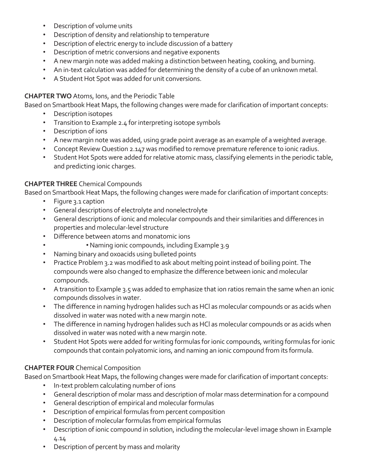- Description of volume units
- Description of density and relationship to temperature
- Description of electric energy to include discussion of a battery
- Description of metric conversions and negative exponents
- A new margin note was added making a distinction between heating, cooking, and burning.
- An in-text calculation was added for determining the density of a cube of an unknown metal.
- A Student Hot Spot was added for unit conversions.

#### **CHAPTER TWO** Atoms, Ions, and the Periodic Table

Based on Smartbook Heat Maps, the following changes were made for clarification of important concepts:

- Description isotopes
- Transition to Example 2.4 for interpreting isotope symbols
- Description of ions
- A new margin note was added, using grade point average as an example of a weighted average.
- Concept Review Question 2.147 was modified to remove premature reference to ionic radius.
- Student Hot Spots were added for relative atomic mass, classifying elements in the periodic table, and predicting ionic charges.

## **CHAPTER THREE** Chemical Compounds

Based on Smartbook Heat Maps, the following changes were made for clarification of important concepts:

- Figure 3.1 caption
- General descriptions of electrolyte and nonelectrolyte
- General descriptions of ionic and molecular compounds and their similarities and differences in properties and molecular-level structure
- Difference between atoms and monatomic ions
- • Naming ionic compounds, including Example 3.9
- Naming binary and oxoacids using bulleted points
- Practice Problem 3.2 was modified to ask about melting point instead of boiling point. The compounds were also changed to emphasize the difference between ionic and molecular compounds.
- A transition to Example 3.5 was added to emphasize that ion ratios remain the same when an ionic compounds dissolves in water.
- The difference in naming hydrogen halides such as HCl as molecular compounds or as acids when dissolved in water was noted with a new margin note.
- The difference in naming hydrogen halides such as HCl as molecular compounds or as acids when dissolved in water was noted with a new margin note.
- Student Hot Spots were added for writing formulas for ionic compounds, writing formulas for ionic compounds that contain polyatomic ions, and naming an ionic compound from its formula.

## **CHAPTER FOUR** Chemical Composition

- In-text problem calculating number of ions
- General description of molar mass and description of molar mass determination for a compound
- General description of empirical and molecular formulas
- Description of empirical formulas from percent composition
- Description of molecular formulas from empirical formulas
- Description of ionic compound in solution, including the molecular-level image shown in Example 4.14
- Description of percent by mass and molarity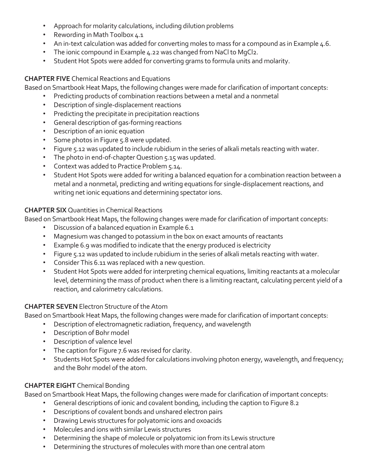- Approach for molarity calculations, including dilution problems
- Rewording in Math Toolbox 4.1
- An in-text calculation was added for converting moles to mass for a compound as in Example 4.6.
- The ionic compound in Example 4.22 was changed from NaCl to MgCl2.
- Student Hot Spots were added for converting grams to formula units and molarity.

#### **CHAPTER FIVE** Chemical Reactions and Equations

Based on Smartbook Heat Maps, the following changes were made for clarification of important concepts:

- Predicting products of combination reactions between a metal and a nonmetal
	- Description of single-displacement reactions
	- Predicting the precipitate in precipitation reactions
	- General description of gas-forming reactions
	- Description of an ionic equation
	- Some photos in Figure 5.8 were updated.
	- Figure 5.12 was updated to include rubidium in the series of alkali metals reacting with water.
	- The photo in end-of-chapter Question 5.15 was updated.
	- Context was added to Practice Problem 5.14.
	- Student Hot Spots were added for writing a balanced equation for a combination reaction between a metal and a nonmetal, predicting and writing equations for single-displacement reactions, and writing net ionic equations and determining spectator ions.

#### **CHAPTER SIX** Quantities in Chemical Reactions

Based on Smartbook Heat Maps, the following changes were made for clarification of important concepts:

- Discussion of a balanced equation in Example 6.1
- Magnesium was changed to potassium in the box on exact amounts of reactants
- Example 6.9 was modified to indicate that the energy produced is electricity
- Figure 5.12 was updated to include rubidium in the series of alkali metals reacting with water.
- Consider This 6.11 was replaced with a new question.
- Student Hot Spots were added for interpreting chemical equations, limiting reactants at a molecular level, determining the mass of product when there is a limiting reactant, calculating percent yield of a reaction, and calorimetry calculations.

## **CHAPTER SEVEN** Electron Structure of the Atom

Based on Smartbook Heat Maps, the following changes were made for clarification of important concepts:

- Description of electromagnetic radiation, frequency, and wavelength
- Description of Bohr model
- Description of valence level
- The caption for Figure 7.6 was revised for clarity.
- Students Hot Spots were added for calculations involving photon energy, wavelength, and frequency; and the Bohr model of the atom.

## **CHAPTER EIGHT** Chemical Bonding

- General descriptions of ionic and covalent bonding, including the caption to Figure 8.2
- Descriptions of covalent bonds and unshared electron pairs
- Drawing Lewis structures for polyatomic ions and oxoacids
- Molecules and ions with similar Lewis structures
- Determining the shape of molecule or polyatomic ion from its Lewis structure
- Determining the structures of molecules with more than one central atom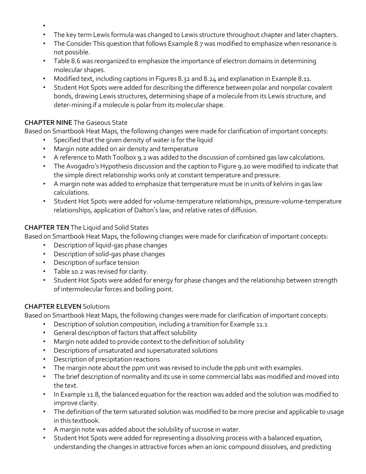- •
- The key term Lewis formula was changed to Lewis structure throughout chapter and later chapters.
- The Consider This question that follows Example 8.7 was modified to emphasize when resonance is not possible.
- Table 8.6 was reorganized to emphasize the importance of electron domains in determining molecular shapes.
- Modified text, including captions in Figures 8.32 and 8.24 and explanation in Example 8.11.
- Student Hot Spots were added for describing the difference between polar and nonpolar covalent bonds, drawing Lewis structures, determining shape of a molecule from its Lewis structure, and deter-mining if a molecule is polar from its molecular shape.

#### **CHAPTER NINE** The Gaseous State

Based on Smartbook Heat Maps, the following changes were made for clarification of important concepts:

- Specified that the given density of water is for the liquid
- Margin note added on air density and temperature
- A reference to Math Toolbox 9.2 was added to the discussion of combined gas law calculations.
- The Avogadro's Hypothesis discussion and the caption to Figure 9.20 were modified to indicate that the simple direct relationship works only at constant temperature and pressure.
- A margin note was added to emphasize that temperature must be in units of kelvins in gas law calculations.
- Student Hot Spots were added for volume-temperature relationships, pressure-volume-temperature relationships, application of Dalton's law, and relative rates of diffusion.

#### **CHAPTER TEN** The Liquid and Solid States

Based on Smartbook Heat Maps, the following changes were made for clarification of important concepts:

- Description of liquid-gas phase changes
- Description of solid-gas phase changes
- Description of surface tension
- Table 10.2 was revised for clarity.
- Student Hot Spots were added for energy for phase changes and the relationship between strength of intermolecular forces and boiling point.

#### **CHAPTER ELEVEN** Solutions

- Description of solution composition, including a transition for Example 11.1
- General description of factors that affect solubility
- Margin note added to provide context to the definition of solubility
- Descriptions of unsaturated and supersaturated solutions
- Description of precipitation reactions
- The margin note about the ppm unit was revised to include the ppb unit with examples.
- The brief description of normality and its use in some commercial labs was modified and moved into the text.
- In Example 11.8, the balanced equation for the reaction was added and the solution was modified to improve clarity.
- The definition of the term saturated solution was modified to be more precise and applicable to usage in this textbook.
- A margin note was added about the solubility of sucrose in water.
- Student Hot Spots were added for representing a dissolving process with a balanced equation, understanding the changes in attractive forces when an ionic compound dissolves, and predicting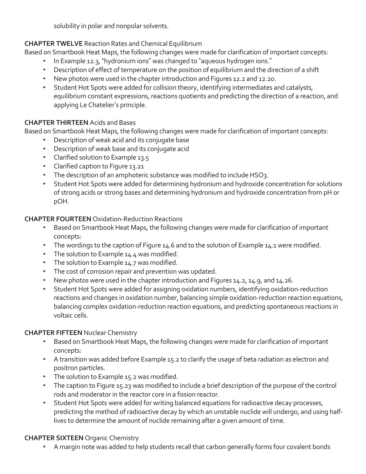solubility in polar and nonpolar solvents.

### **CHAPTER TWELVE** Reaction Rates and Chemical Equilibrium

Based on Smartbook Heat Maps, the following changes were made for clarification of important concepts:

- In Example 12.3, "hydronium ions" was changed to "aqueous hydrogen ions."
- Description of effect of temperature on the position of equilibrium and the direction of a shift
- New photos were used in the chapter introduction and Figures 12.2 and 12.20.
- Student Hot Spots were added for collision theory, identifying intermediates and catalysts, equilibrium constant expressions, reactions quotients and predicting the direction of a reaction, and applying Le Chatelier's principle.

#### **CHAPTER THIRTEEN** Acids and Bases

Based on Smartbook Heat Maps, the following changes were made for clarification of important concepts:

- Description of weak acid and its conjugate base
- Description of weak base and its conjugate acid
- Clarified solution to Example 13.5
- Clarified caption to Figure 13.21
- The description of an amphoteric substance was modified to include HSO3.
- Student Hot Spots were added for determining hydronium and hydroxide concentration for solutions of strong acids or strong bases and determining hydronium and hydroxide concentration from pH or pOH.

#### **CHAPTER FOURTEEN** Oxidation-Reduction Reactions

- Based on Smartbook Heat Maps, the following changes were made for clarification of important concepts:
- The wordings to the caption of Figure 14.6 and to the solution of Example 14.1 were modified.
- The solution to Example 14.4 was modified.
- The solution to Example 14.7 was modified.
- The cost of corrosion repair and prevention was updated.
- New photos were used in the chapter introduction and Figures 14.2, 14.9, and 14.26.
- Student Hot Spots were added for assigning oxidation numbers, identifying oxidation-reduction reactions and changes in oxidation number, balancing simple oxidation-reduction reaction equations, balancing complex oxidation-reduction reaction equations, and predicting spontaneous reactions in voltaic cells.

#### **CHAPTER FIFTEEN** Nuclear Chemistry

- Based on Smartbook Heat Maps, the following changes were made for clarification of important concepts:
- A transition was added before Example 15.2 to clarify the usage of beta radiation as electron and positron particles.
- The solution to Example 15.2 was modified.
- The caption to Figure 15.23 was modified to include a brief description of the purpose of the control rods and moderator in the reactor core in a fission reactor.
- Student Hot Spots were added for writing balanced equations for radioactive decay processes, predicting the method of radioactive decay by which an unstable nuclide will undergo, and using halflives to determine the amount of nuclide remaining after a given amount of time.

## **CHAPTER SIXTEEN** Organic Chemistry

• A margin note was added to help students recall that carbon generally forms four covalent bonds